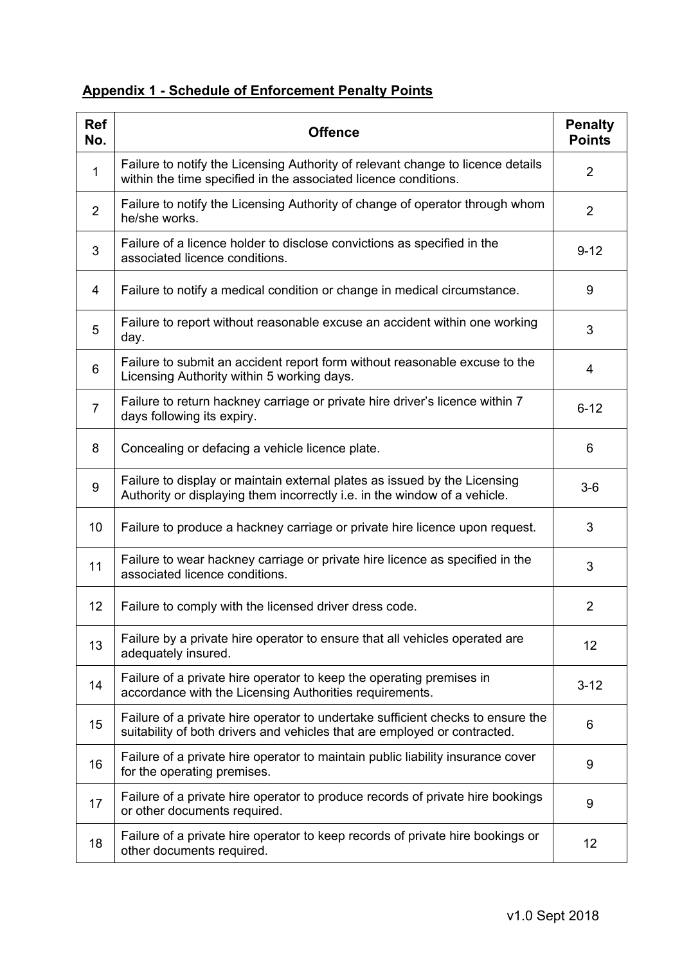## **Appendix 1 - Schedule of Enforcement Penalty Points**

| <b>Ref</b><br>No. | <b>Offence</b>                                                                                                                                               | <b>Penalty</b><br><b>Points</b> |
|-------------------|--------------------------------------------------------------------------------------------------------------------------------------------------------------|---------------------------------|
| $\mathbf{1}$      | Failure to notify the Licensing Authority of relevant change to licence details<br>within the time specified in the associated licence conditions.           | $\overline{2}$                  |
| $\overline{2}$    | Failure to notify the Licensing Authority of change of operator through whom<br>he/she works.                                                                | $\overline{2}$                  |
| 3                 | Failure of a licence holder to disclose convictions as specified in the<br>associated licence conditions.                                                    | $9 - 12$                        |
| 4                 | Failure to notify a medical condition or change in medical circumstance.                                                                                     | 9                               |
| 5                 | Failure to report without reasonable excuse an accident within one working<br>day.                                                                           | 3                               |
| 6                 | Failure to submit an accident report form without reasonable excuse to the<br>Licensing Authority within 5 working days.                                     | 4                               |
| 7                 | Failure to return hackney carriage or private hire driver's licence within 7<br>days following its expiry.                                                   | $6 - 12$                        |
| 8                 | Concealing or defacing a vehicle licence plate.                                                                                                              | 6                               |
| 9                 | Failure to display or maintain external plates as issued by the Licensing<br>Authority or displaying them incorrectly i.e. in the window of a vehicle.       | $3-6$                           |
| 10                | Failure to produce a hackney carriage or private hire licence upon request.                                                                                  | 3                               |
| 11                | Failure to wear hackney carriage or private hire licence as specified in the<br>associated licence conditions.                                               | 3                               |
| 12                | Failure to comply with the licensed driver dress code.                                                                                                       | 2                               |
| 13                | Failure by a private hire operator to ensure that all vehicles operated are<br>adequately insured.                                                           | $12 \overline{ }$               |
| 14                | Failure of a private hire operator to keep the operating premises in<br>accordance with the Licensing Authorities requirements.                              | $3 - 12$                        |
| 15                | Failure of a private hire operator to undertake sufficient checks to ensure the<br>suitability of both drivers and vehicles that are employed or contracted. | 6                               |
| 16                | Failure of a private hire operator to maintain public liability insurance cover<br>for the operating premises.                                               | 9                               |
| 17                | Failure of a private hire operator to produce records of private hire bookings<br>or other documents required.                                               | 9                               |
| 18                | Failure of a private hire operator to keep records of private hire bookings or<br>other documents required.                                                  | 12 <sub>2</sub>                 |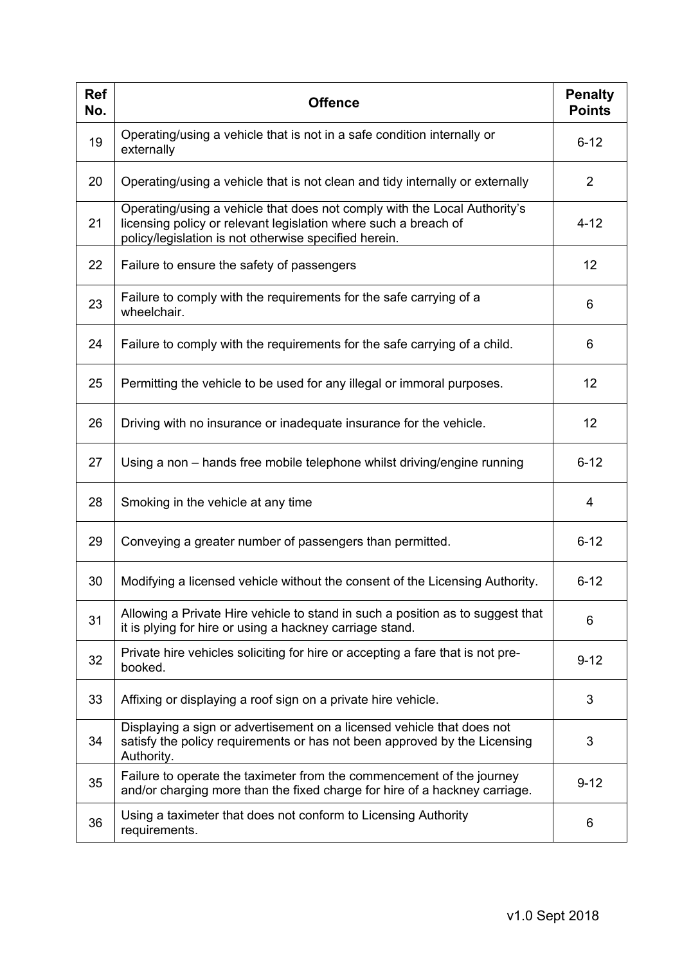| <b>Ref</b><br>No. | <b>Offence</b>                                                                                                                                                                                        | <b>Penalty</b><br><b>Points</b> |
|-------------------|-------------------------------------------------------------------------------------------------------------------------------------------------------------------------------------------------------|---------------------------------|
| 19                | Operating/using a vehicle that is not in a safe condition internally or<br>externally                                                                                                                 | $6 - 12$                        |
| 20                | Operating/using a vehicle that is not clean and tidy internally or externally                                                                                                                         | $\overline{2}$                  |
| 21                | Operating/using a vehicle that does not comply with the Local Authority's<br>licensing policy or relevant legislation where such a breach of<br>policy/legislation is not otherwise specified herein. | $4 - 12$                        |
| 22                | Failure to ensure the safety of passengers                                                                                                                                                            | 12                              |
| 23                | Failure to comply with the requirements for the safe carrying of a<br>wheelchair.                                                                                                                     | 6                               |
| 24                | Failure to comply with the requirements for the safe carrying of a child.                                                                                                                             | 6                               |
| 25                | Permitting the vehicle to be used for any illegal or immoral purposes.                                                                                                                                | 12                              |
| 26                | Driving with no insurance or inadequate insurance for the vehicle.                                                                                                                                    | 12                              |
| 27                | Using a non – hands free mobile telephone whilst driving/engine running                                                                                                                               | $6 - 12$                        |
| 28                | Smoking in the vehicle at any time                                                                                                                                                                    | 4                               |
| 29                | Conveying a greater number of passengers than permitted.                                                                                                                                              | $6 - 12$                        |
| 30                | Modifying a licensed vehicle without the consent of the Licensing Authority.                                                                                                                          | $6 - 12$                        |
| 31                | Allowing a Private Hire vehicle to stand in such a position as to suggest that<br>it is plying for hire or using a hackney carriage stand.                                                            | 6                               |
| 32                | Private hire vehicles soliciting for hire or accepting a fare that is not pre-<br>booked.                                                                                                             | $9 - 12$                        |
| 33                | Affixing or displaying a roof sign on a private hire vehicle.                                                                                                                                         | 3                               |
| 34                | Displaying a sign or advertisement on a licensed vehicle that does not<br>satisfy the policy requirements or has not been approved by the Licensing<br>Authority.                                     | 3                               |
| 35                | Failure to operate the taximeter from the commencement of the journey<br>and/or charging more than the fixed charge for hire of a hackney carriage.                                                   | $9 - 12$                        |
| 36                | Using a taximeter that does not conform to Licensing Authority<br>requirements.                                                                                                                       | 6                               |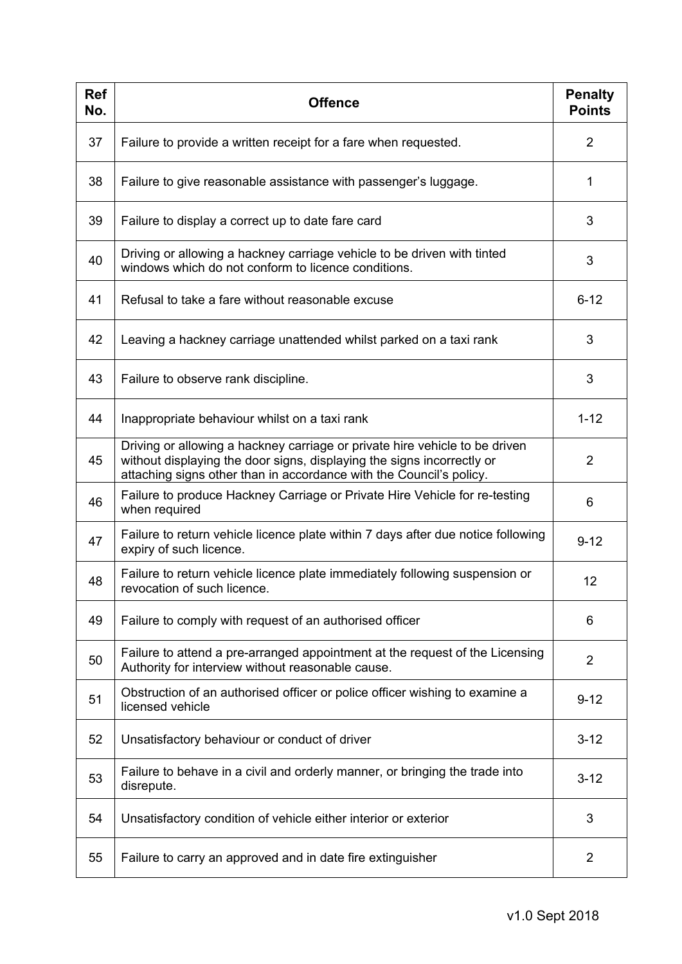| <b>Ref</b><br>No. | <b>Offence</b>                                                                                                                                                                                                               | <b>Penalty</b><br><b>Points</b> |
|-------------------|------------------------------------------------------------------------------------------------------------------------------------------------------------------------------------------------------------------------------|---------------------------------|
| 37                | Failure to provide a written receipt for a fare when requested.                                                                                                                                                              | 2                               |
| 38                | Failure to give reasonable assistance with passenger's luggage.                                                                                                                                                              | 1                               |
| 39                | Failure to display a correct up to date fare card                                                                                                                                                                            | 3                               |
| 40                | Driving or allowing a hackney carriage vehicle to be driven with tinted<br>windows which do not conform to licence conditions.                                                                                               | 3                               |
| 41                | Refusal to take a fare without reasonable excuse                                                                                                                                                                             | $6 - 12$                        |
| 42                | Leaving a hackney carriage unattended whilst parked on a taxi rank                                                                                                                                                           | 3                               |
| 43                | Failure to observe rank discipline.                                                                                                                                                                                          | 3                               |
| 44                | Inappropriate behaviour whilst on a taxi rank                                                                                                                                                                                | $1 - 12$                        |
| 45                | Driving or allowing a hackney carriage or private hire vehicle to be driven<br>without displaying the door signs, displaying the signs incorrectly or<br>attaching signs other than in accordance with the Council's policy. | $\overline{2}$                  |
| 46                | Failure to produce Hackney Carriage or Private Hire Vehicle for re-testing<br>when required                                                                                                                                  | 6                               |
| 47                | Failure to return vehicle licence plate within 7 days after due notice following<br>expiry of such licence.                                                                                                                  | $9 - 12$                        |
| 48                | Failure to return vehicle licence plate immediately following suspension or<br>revocation of such licence.                                                                                                                   | 12                              |
| 49                | Failure to comply with request of an authorised officer                                                                                                                                                                      | 6                               |
| 50                | Failure to attend a pre-arranged appointment at the request of the Licensing<br>Authority for interview without reasonable cause.                                                                                            | $\overline{2}$                  |
| 51                | Obstruction of an authorised officer or police officer wishing to examine a<br>licensed vehicle                                                                                                                              | $9 - 12$                        |
| 52                | Unsatisfactory behaviour or conduct of driver                                                                                                                                                                                | $3 - 12$                        |
| 53                | Failure to behave in a civil and orderly manner, or bringing the trade into<br>disrepute.                                                                                                                                    | $3 - 12$                        |
| 54                | Unsatisfactory condition of vehicle either interior or exterior                                                                                                                                                              | 3                               |
| 55                | Failure to carry an approved and in date fire extinguisher                                                                                                                                                                   | 2                               |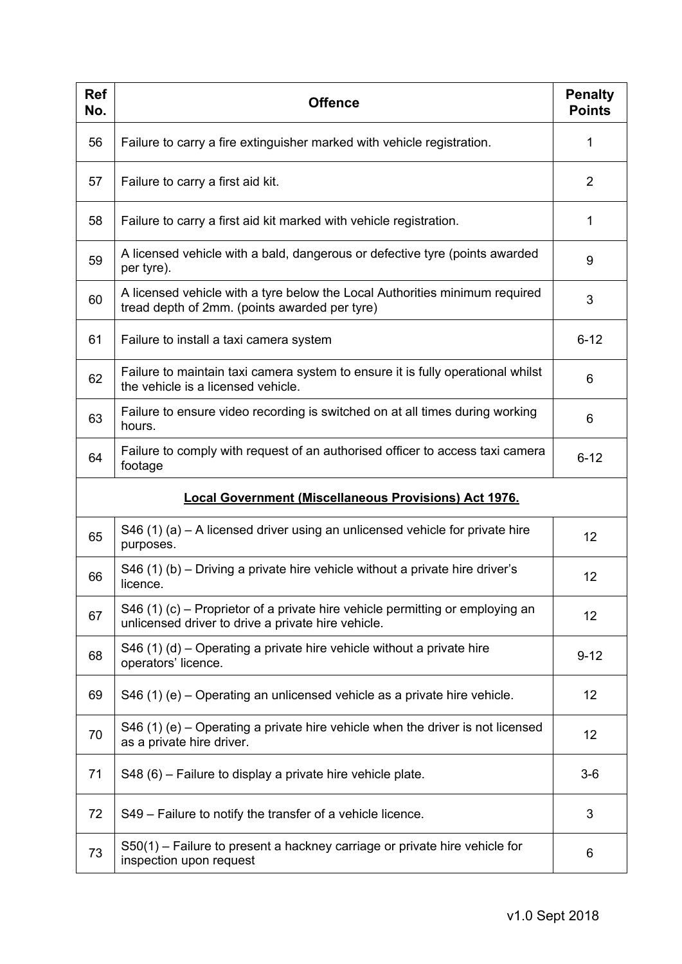| <b>Ref</b><br>No.                                            | <b>Offence</b>                                                                                                                      | <b>Penalty</b><br><b>Points</b> |
|--------------------------------------------------------------|-------------------------------------------------------------------------------------------------------------------------------------|---------------------------------|
| 56                                                           | Failure to carry a fire extinguisher marked with vehicle registration.                                                              | 1                               |
| 57                                                           | Failure to carry a first aid kit.                                                                                                   | $\overline{2}$                  |
| 58                                                           | Failure to carry a first aid kit marked with vehicle registration.                                                                  | 1                               |
| 59                                                           | A licensed vehicle with a bald, dangerous or defective tyre (points awarded<br>per tyre).                                           | 9                               |
| 60                                                           | A licensed vehicle with a tyre below the Local Authorities minimum required<br>tread depth of 2mm. (points awarded per tyre)        | 3                               |
| 61                                                           | Failure to install a taxi camera system                                                                                             | $6 - 12$                        |
| 62                                                           | Failure to maintain taxi camera system to ensure it is fully operational whilst<br>the vehicle is a licensed vehicle.               | 6                               |
| 63                                                           | Failure to ensure video recording is switched on at all times during working<br>hours.                                              | 6                               |
| 64                                                           | Failure to comply with request of an authorised officer to access taxi camera<br>footage                                            | $6 - 12$                        |
| <b>Local Government (Miscellaneous Provisions) Act 1976.</b> |                                                                                                                                     |                                 |
| 65                                                           | S46 (1) (a) $-$ A licensed driver using an unlicensed vehicle for private hire<br>purposes.                                         | 12                              |
| 66                                                           | S46 (1) (b) – Driving a private hire vehicle without a private hire driver's<br>licence.                                            | 12                              |
| 67                                                           | S46 (1) (c) – Proprietor of a private hire vehicle permitting or employing an<br>unlicensed driver to drive a private hire vehicle. | 12                              |
| 68                                                           | S46 (1) (d) – Operating a private hire vehicle without a private hire<br>operators' licence.                                        | $9 - 12$                        |
| 69                                                           | S46 (1) (e) – Operating an unlicensed vehicle as a private hire vehicle.                                                            | 12                              |
| 70                                                           | S46 (1) (e) – Operating a private hire vehicle when the driver is not licensed<br>as a private hire driver.                         | 12                              |
| 71                                                           | S48 (6) – Failure to display a private hire vehicle plate.                                                                          | $3-6$                           |
| 72                                                           | S49 – Failure to notify the transfer of a vehicle licence.                                                                          | 3                               |
| 73                                                           | S50(1) – Failure to present a hackney carriage or private hire vehicle for<br>inspection upon request                               | 6                               |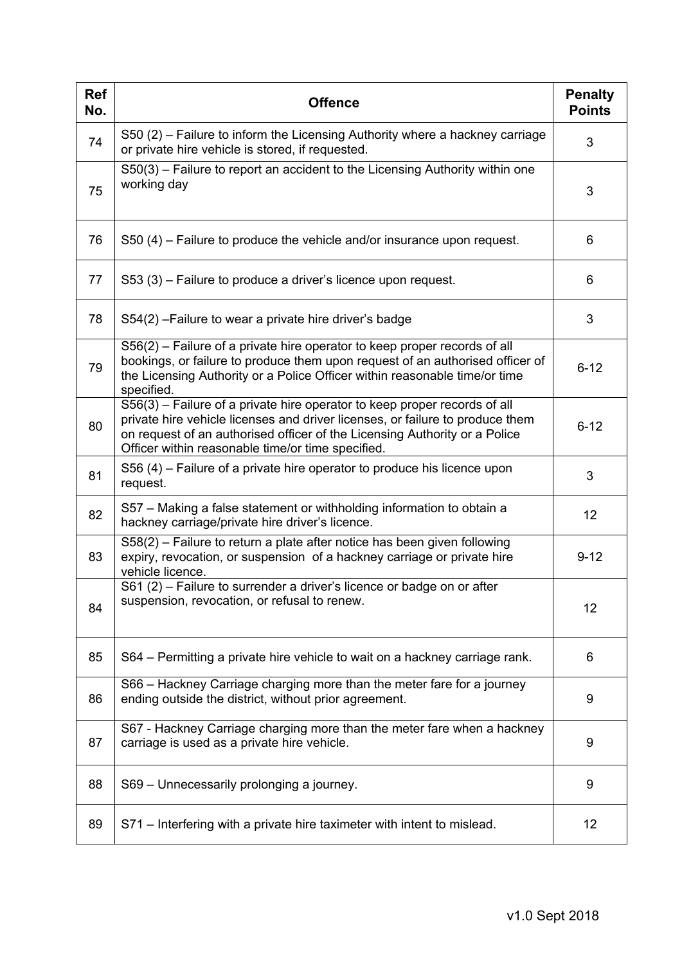| <b>Ref</b><br>No. | <b>Offence</b>                                                                                                                                                                                                                                                                                | <b>Penalty</b><br><b>Points</b> |
|-------------------|-----------------------------------------------------------------------------------------------------------------------------------------------------------------------------------------------------------------------------------------------------------------------------------------------|---------------------------------|
| 74                | S50 (2) – Failure to inform the Licensing Authority where a hackney carriage<br>or private hire vehicle is stored, if requested.                                                                                                                                                              | 3                               |
| 75                | S50(3) - Failure to report an accident to the Licensing Authority within one<br>working day                                                                                                                                                                                                   | 3                               |
| 76                | S50 (4) – Failure to produce the vehicle and/or insurance upon request.                                                                                                                                                                                                                       | 6                               |
| 77                | S53 (3) – Failure to produce a driver's licence upon request.                                                                                                                                                                                                                                 | 6                               |
| 78                | S54(2) - Failure to wear a private hire driver's badge                                                                                                                                                                                                                                        | 3                               |
| 79                | S56(2) – Failure of a private hire operator to keep proper records of all<br>bookings, or failure to produce them upon request of an authorised officer of<br>the Licensing Authority or a Police Officer within reasonable time/or time<br>specified.                                        | $6 - 12$                        |
| 80                | S56(3) – Failure of a private hire operator to keep proper records of all<br>private hire vehicle licenses and driver licenses, or failure to produce them<br>on request of an authorised officer of the Licensing Authority or a Police<br>Officer within reasonable time/or time specified. | $6 - 12$                        |
| 81                | S56 (4) – Failure of a private hire operator to produce his licence upon<br>request.                                                                                                                                                                                                          | 3                               |
| 82                | S57 - Making a false statement or withholding information to obtain a<br>hackney carriage/private hire driver's licence.                                                                                                                                                                      | 12                              |
| 83                | S58(2) – Failure to return a plate after notice has been given following<br>expiry, revocation, or suspension of a hackney carriage or private hire<br>vehicle licence.                                                                                                                       | $9 - 12$                        |
| 84                | S61 (2) – Failure to surrender a driver's licence or badge on or after<br>suspension, revocation, or refusal to renew.                                                                                                                                                                        | 12                              |
| 85                | S64 – Permitting a private hire vehicle to wait on a hackney carriage rank.                                                                                                                                                                                                                   | 6                               |
| 86                | S66 - Hackney Carriage charging more than the meter fare for a journey<br>ending outside the district, without prior agreement.                                                                                                                                                               | 9                               |
| 87                | S67 - Hackney Carriage charging more than the meter fare when a hackney<br>carriage is used as a private hire vehicle.                                                                                                                                                                        | 9                               |
| 88                | S69 - Unnecessarily prolonging a journey.                                                                                                                                                                                                                                                     | 9                               |
| 89                | S71 – Interfering with a private hire taximeter with intent to mislead.                                                                                                                                                                                                                       | 12                              |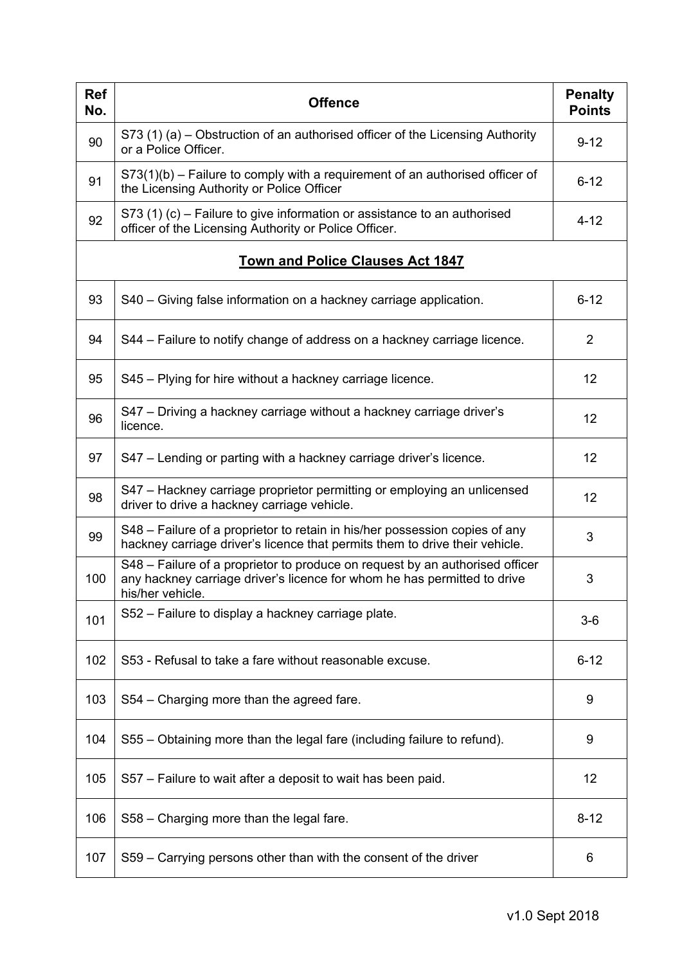| <b>Ref</b><br>No. | <b>Offence</b>                                                                                                                                                               | <b>Penalty</b><br><b>Points</b> |
|-------------------|------------------------------------------------------------------------------------------------------------------------------------------------------------------------------|---------------------------------|
| 90                | S73 (1) (a) – Obstruction of an authorised officer of the Licensing Authority<br>or a Police Officer.                                                                        | $9 - 12$                        |
| 91                | $S73(1)(b)$ – Failure to comply with a requirement of an authorised officer of<br>the Licensing Authority or Police Officer                                                  | $6 - 12$                        |
| 92                | S73 (1) (c) – Failure to give information or assistance to an authorised<br>officer of the Licensing Authority or Police Officer.                                            | $4 - 12$                        |
|                   | <b>Town and Police Clauses Act 1847</b>                                                                                                                                      |                                 |
| 93                | S40 - Giving false information on a hackney carriage application.                                                                                                            | $6 - 12$                        |
| 94                | S44 – Failure to notify change of address on a hackney carriage licence.                                                                                                     | 2                               |
| 95                | S45 – Plying for hire without a hackney carriage licence.                                                                                                                    | 12                              |
| 96                | S47 – Driving a hackney carriage without a hackney carriage driver's<br>licence.                                                                                             | 12                              |
| 97                | S47 – Lending or parting with a hackney carriage driver's licence.                                                                                                           | 12                              |
| 98                | S47 – Hackney carriage proprietor permitting or employing an unlicensed<br>driver to drive a hackney carriage vehicle.                                                       | 12                              |
| 99                | S48 – Failure of a proprietor to retain in his/her possession copies of any<br>hackney carriage driver's licence that permits them to drive their vehicle.                   | 3                               |
| 100               | S48 – Failure of a proprietor to produce on request by an authorised officer<br>any hackney carriage driver's licence for whom he has permitted to drive<br>his/her vehicle. | 3                               |
| 101               | S52 – Failure to display a hackney carriage plate.                                                                                                                           | $3-6$                           |
| 102               | S53 - Refusal to take a fare without reasonable excuse.                                                                                                                      | $6 - 12$                        |
| 103               | S54 – Charging more than the agreed fare.                                                                                                                                    | 9                               |
| 104               | S55 – Obtaining more than the legal fare (including failure to refund).                                                                                                      | 9                               |
| 105               | S57 – Failure to wait after a deposit to wait has been paid.                                                                                                                 | 12                              |
| 106               | S58 - Charging more than the legal fare.                                                                                                                                     | $8 - 12$                        |
| 107               | S59 – Carrying persons other than with the consent of the driver                                                                                                             | 6                               |